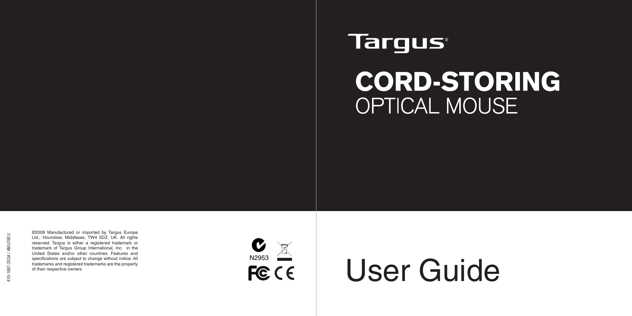## **Targus**

# **CORD-STORING OPTICAL MOUSE**

©2009 Manufactured or imported by Targus Europe Ltd., Hounslow, Middlesex, TW4 5DZ, UK. All rights reserved. Targus is either a registered trademark or trademark of Targus Group International, Inc. in the United States and/or other countries. Features and specifications are subject to change without notice. All trademarks and registered trademarks are the property of their respective owners.



# User Guide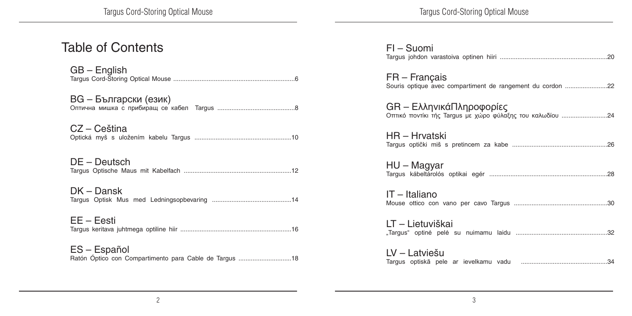| <b>Table of Contents</b>                               | $FI - Suomi$                                               |
|--------------------------------------------------------|------------------------------------------------------------|
| $GB - English$                                         | $FR - Fra$ nçais                                           |
|                                                        | Souris optique avec compartiment de rangement du cordon 22 |
| BG - Български (език)                                  | GR – ΕλληνικάΠληροφορίες                                   |
|                                                        |                                                            |
| CZ – Ceština                                           | HR – Hrvatski                                              |
|                                                        |                                                            |
| $DE - Deutsch$                                         | $HU - Magyar$                                              |
|                                                        |                                                            |
| $DK - Dansk$                                           | IT - Italiano                                              |
|                                                        |                                                            |
| $EE - Eesti$                                           | LT - Lietuviškai                                           |
|                                                        |                                                            |
| ES - Español                                           | LV – Latviešu                                              |
| Ratón Óptico con Compartimento para Cable de Targus 18 |                                                            |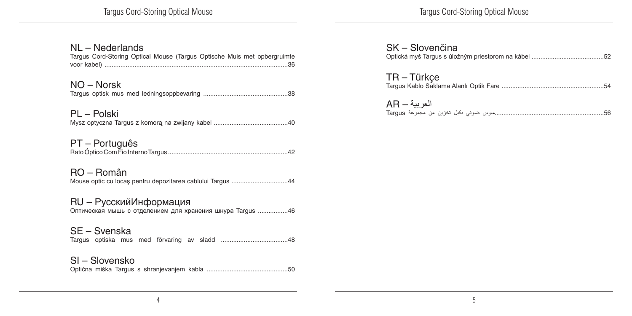Targus Cord-Storing Optical Mouse

#### NL – Nederlands

| Targus Cord-Storing Optical Mouse (Targus Optische Muis met opbergruimte             |  |  |
|--------------------------------------------------------------------------------------|--|--|
| NO – Norsk                                                                           |  |  |
| PL – Polski                                                                          |  |  |
| PT – Português                                                                       |  |  |
| RO – Român<br>Mouse optic cu locaș pentru depozitarea cablului Targus 44             |  |  |
| RU - Русский Информация<br>Оптическая мышь с отделением для хранения шнура Targus 46 |  |  |
| SE – Svenska                                                                         |  |  |
| SI – Slovensko                                                                       |  |  |

| SK - Slovenčina |  |
|-----------------|--|
| $TR - Türkçe$   |  |
| العربية — AR    |  |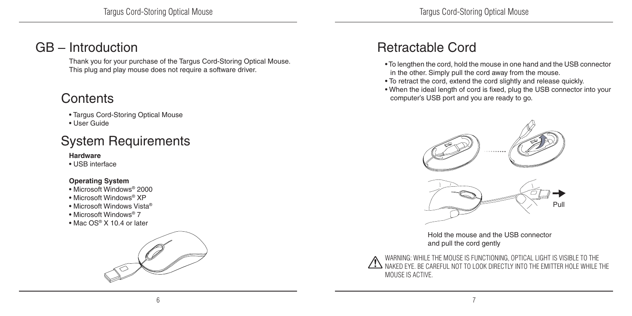#### GB – Introduction

Thank you for your purchase of the Targus Cord-Storing Optical Mouse. This plug and play mouse does not require a software driver.

### **Contents**

- Targus Cord-Storing Optical Mouse
- User Guide

#### System Requirements

#### **Hardware**

• USB interface

#### **Operating System**

- Microsoft Windows® 2000
- Microsoft Windows® XP
- Microsoft Windows Vista®
- Microsoft Windows® 7
- Mac OS® X 10.4 or later



#### Retractable Cord

- To lengthen the cord, hold the mouse in one hand and the USB connector in the other. Simply pull the cord away from the mouse.
- To retract the cord, extend the cord slightly and release quickly.
- When the ideal length of cord is fixed, plug the USB connector into your computer's USB port and you are ready to go.



Hold the mouse and the USB connector and pull the cord gently

WARNING: WHILE THE MOUSE IS FUNCTIONING, OPTICAL LIGHT IS VISIBLE TO THE NAKED EYE. BE CAREFUL NOT TO LOOK DIRECTLY INTO THE EMITTER HOLE WHILE THE MOUSE IS ACTIVE.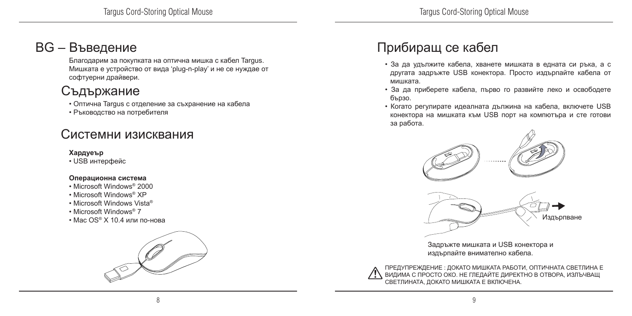#### BG – Въведение

Благодарим за покупката на оптична мишка с кабел Targus. Мишката е устройство от вида 'plug-n-play' и не се нуждае от софтуерни драйвери.

#### Съдържание

• Оптична Targus с отделение за съхранение на кабела

• Ръководство на потребителя

#### Системни изисквания

#### **Хардуеър**

• USB интерфейс

#### **Операционна система**

- Microsoft Windows® 2000
- Microsoft Windows® XP
- Microsoft Windows Vista®
- Microsoft Windows® 7
- Мас  $OS^{\circ}$  Х 10.4 или по-нова



### Прибиращ се кабел

- За да удължите кабела, хванете мишката в едната си ръка, а с другата задръжте USB конектора. Просто издърпайте кабела от мишката.
- За да приберете кабела, първо го развийте леко и освободете бързо.
- Когато регулирате идеалната дължина на кабела, включете USB конектора на мишката към USB порт на компютъра и сте готови за работа.



Задръжте мишката и USB конектора и издърпайте внимателно кабела.

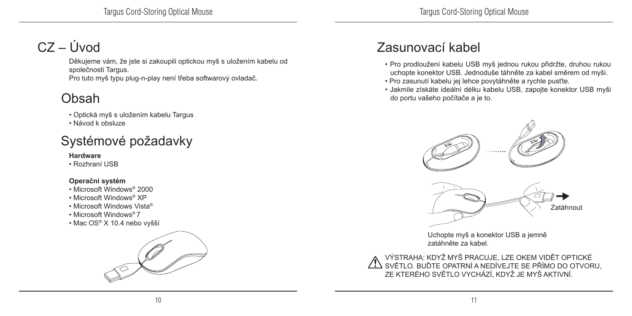### $CZ - I$ Uvod

Děkujeme vám, že jste si zakoupili optickou myš s uložením kabelu od společnosti Targus. Pro tuto myš typu plug-n-play není třeba softwarový ovladač.

### Obsah

- Optická myš s uložením kabelu Targus
- Návod k obsluze

### Systémové požadavky

#### **Hardware**

• Rozhraní USB

#### **Operační systém**

- Microsoft Windows® 2000
- Microsoft Windows® XP
- Microsoft Windows Vista®
- Microsoft Windows® 7
- Mac OS® X 10.4 nebo vyšší



### Zasunovací kabel

- Pro prodloužení kabelu USB myš jednou rukou přidržte, druhou rukou uchopte konektor USB. Jednoduše táhněte za kabel směrem od myši.
- Pro zasunutí kabelu jej lehce povytáhněte a rychle pusťte.
- Jakmile získáte ideální délku kabelu USB, zapojte konektor USB myši do portu vašeho počítače a je to.



Uchopte myš a konektor USB a jemně zatáhněte za kabel.

VÝSTRAHA: KDYŽ MYŠ PRACUJE, LZE OKEM VIDĚT OPTICKÉ SVĚTLO. BUĎTE OPATRNÍ A NEDÍVEJTE SE PŘÍMO DO OTVORU, ZE KTERÉHO SVĚTLO VYCHÁZÍ, KDYŽ JE MYŠ AKTIVNÍ.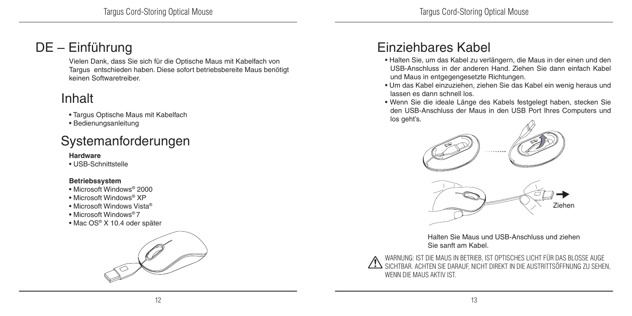### DE – Einführung

Vielen Dank, dass Sie sich für die Optische Maus mit Kabelfach von Targus entschieden haben. Diese sofort betriebsbereite Maus benötigt keinen Softwaretreiber.

### Inhalt

- Targus Optische Maus mit Kabelfach
- Bedienungsanleitung

### Systemanforderungen

#### **Hardware**

• USB-Schnittstelle

#### **Betriebssystem**

- Microsoft Windows® 2000
- Microsoft Windows® XP
- Microsoft Windows Vista®
- Microsoft Windows® 7
- Mac OS® X 10.4 oder später



### Einziehbares Kabel

- Halten Sie, um das Kabel zu verlängern, die Maus in der einen und den USB-Anschluss in der anderen Hand. Ziehen Sie dann einfach Kabel und Maus in entgegengesetzte Richtungen.
- Um das Kabel einzuziehen, ziehen Sie das Kabel ein wenig heraus und lassen es dann schnell los.
- Wenn Sie die ideale Länge des Kabels festgelegt haben, stecken Sie den USB-Anschluss der Maus in den USB Port Ihres Computers und los geht's.



Halten Sie Maus und USB-Anschluss und ziehen Sie sanft am Kabel.

WARNUNG: IST DIE MAUS IN BETRIEB, IST OPTISCHES LICHT FÜR DAS BLOSSE AUGE SICHTBAR. ACHTEN SIE DARAUF, NICHT DIREKT IN DIE AUSTRITTSÖFFNUNG ZU SEHEN, WENN DIE MALIS AKTIV IST.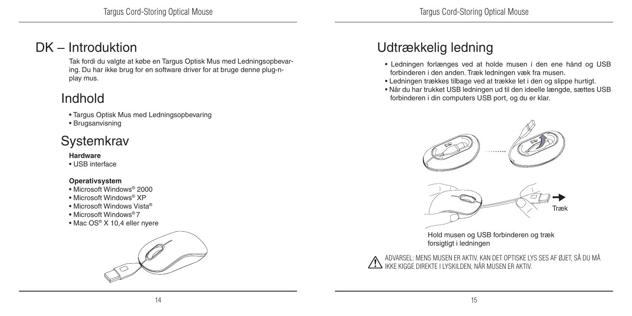#### DK – Introduktion

Tak fordi du valgte at købe en Targus Optisk Mus med Ledningsopbevaring. Du har ikke brug for en software driver for at bruge denne plug-nplay mus.

#### Indhold

- Targus Optisk Mus med Ledningsopbevaring
- Brugsanvisning

#### **Systemkrav**

#### **Hardware**

• USB interface

#### **Operativsystem**

- Microsoft Windows® 2000
- Microsoft Windows® XP
- Microsoft Windows Vista®
- Microsoft Windows® 7
- Mac OS® X 10,4 eller nyere



### Udtrækkelig ledning

- Ledningen forlænges ved at holde musen i den ene hånd og USB forbinderen i den anden. Træk ledningen væk fra musen.
- Ledningen trækkes tilbage ved at trække let i den og slippe hurtigt.
- Når du har trukket USB ledningen ud til den ideelle længde, sættes USB forbinderen i din computers USB port, og du er klar.



Hold musen og USB forbinderen og træk forsigtigt i ledningen

ADVARSEL: MENS MUSEN ER AKTIV, KAN DET OPTISKE LYS SES AF ØJET, SÅ DU MÅ IKKE KIGGE DIREKTE I LYSKILDEN, NÅR MUSEN ER AKTIV.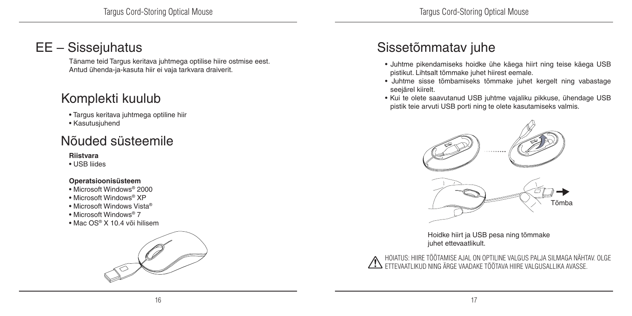#### EE – Sissejuhatus

Täname teid Targus keritava juhtmega optilise hiire ostmise eest. Antud ühenda-ja-kasuta hiir ei vaja tarkvara draiverit.

#### Komplekti kuulub

- Targus keritava juhtmega optiline hiir
- Kasutusjuhend

#### Nõuded süsteemile

**Riistvara**

• USB liides

#### **Operatsioonisüsteem**

- Microsoft Windows® 2000
- Microsoft Windows® XP
- Microsoft Windows Vista®
- Microsoft Windows® 7
- Mac OS® X 10.4 või hilisem



### Sissetõmmatav juhe

- Juhtme pikendamiseks hoidke ühe käega hiirt ning teise käega USB pistikut. Lihtsalt tõmmake juhet hiirest eemale.
- Juhtme sisse tõmbamiseks tõmmake juhet kergelt ning vabastage seejärel kiirelt.
- Kui te olete saavutanud USB juhtme vajaliku pikkuse, ühendage USB pistik teie arvuti USB porti ning te olete kasutamiseks valmis.



Hoidke hiirt ja USB pesa ning tõmmake juhet ettevaatlikult.

HOIATUS: HIIRE TÖÖTAMISE AJAL ON OPTILINE VALGUS PALJA SILMAGA NÄHTAV. OLGE ETTEVAATLIKUD NING ÄRGE VAADAKE TÖÖTAVA HIIRE VALGUSALLIKA AVASSE.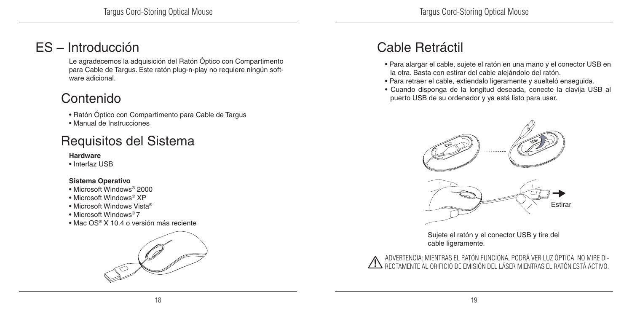#### ES – Introducción

Le agradecemos la adquisición del Ratón Óptico con Compartimento para Cable de Targus. Este ratón plug-n-play no requiere ningún software adicional.

### Contenido

• Ratón Óptico con Compartimento para Cable de Targus

• Manual de Instrucciones

### Requisitos del Sistema

#### **Hardware**

• Interfaz USB

#### **Sistema Operativo**

- Microsoft Windows® 2000
- Microsoft Windows® XP
- Microsoft Windows Vista®
- Microsoft Windows® 7
- Mac OS® X 10.4 o versión más reciente



### Cable Retráctil

- Para alargar el cable, sujete el ratón en una mano y el conector USB en la otra. Basta con estirar del cable alejándolo del ratón.
- Para retraer el cable, extiendalo ligeramente y suelteló enseguida.
- Cuando disponga de la longitud deseada, conecte la clavija USB al puerto USB de su ordenador y ya está listo para usar.



Sujete el ratón y el conector USB y tire del cable ligeramente.

ADVERTENCIA: MIENTRAS EL RATÓN FUNCIONA, PODRÁ VER LUZ ÓPTICA. NO MIRE DI-RECTAMENTE AL ORIFICIO DE EMISIÓN DEL LÁSER MIENTRAS EL RATÓN ESTÁ ACTIVO.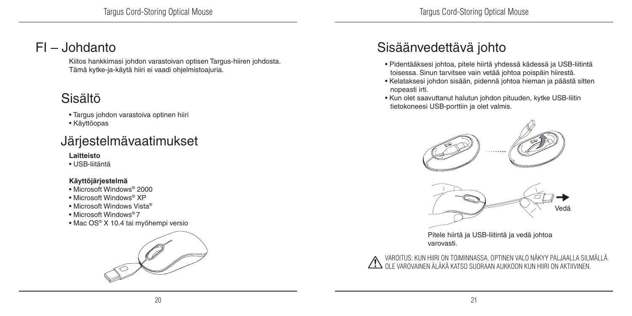#### FI – Johdanto

Kiitos hankkimasi johdon varastoivan optisen Targus-hiiren johdosta. Tämä kytke-ja-käytä hiiri ei vaadi ohjelmistoajuria.

### Sisältö

- Targus johdon varastoiva optinen hiiri
- Käyttöopas

### Järjestelmävaatimukset

#### **Laitteisto**

• USB-liitäntä

#### **Käyttöjärjestelmä**

- Microsoft Windows® 2000
- Microsoft Windows® XP
- Microsoft Windows Vista®
- Microsoft Windows® 7
- Mac OS® X 10.4 tai myöhempi versio



### Sisäänvedettävä johto

- Pidentääksesi johtoa, pitele hiirtä yhdessä kädessä ja USB-liitintä toisessa. Sinun tarvitsee vain vetää johtoa poispäin hiirestä.
- Kelataksesi johdon sisään, pidennä johtoa hieman ja päästä sitten nopeasti irti.
- Kun olet saavuttanut halutun johdon pituuden, kytke USB-liitin tietokoneesi USB-porttiin ja olet valmis.



Pitele hiirtä ja USB-liitintä ja vedä johtoa varovasti.

VAROITUS: KUN HIIRI ON TOIMINNASSA, OPTINEN VALO NÄKYY PALJAALLA SILMÄLLÄ. OLE VAROVAINEN ÄLÄKÄ KATSO SUORAAN AUKKOON KUN HIIRI ON AKTIIVINEN.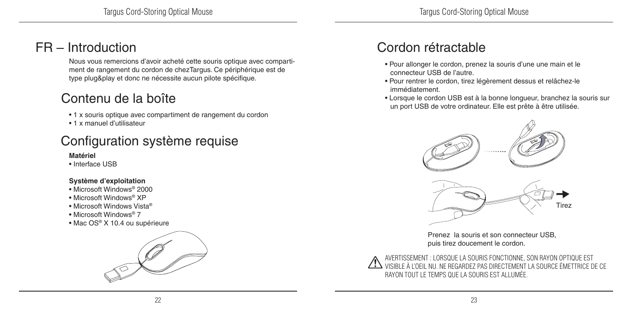#### FR – Introduction

Nous vous remercions d'avoir acheté cette souris optique avec compartiment de rangement du cordon de chezTargus. Ce périphérique est de type plug&play et donc ne nécessite aucun pilote spécifique.

#### Contenu de la boîte

- 1 x souris optique avec compartiment de rangement du cordon
- 1 x manuel d'utilisateur

### Configuration système requise

#### **Matériel**

• Interface USB

#### **Système d'exploitation**

- Microsoft Windows® 2000
- Microsoft Windows® XP
- Microsoft Windows Vista®
- Microsoft Windows® 7
- Mac OS® X 10.4 ou supérieure



#### Cordon rétractable

- Pour allonger le cordon, prenez la souris d'une une main et le connecteur USB de l'autre.
- Pour rentrer le cordon, tirez légèrement dessus et relâchez-le immédiatement.
- Lorsque le cordon USB est à la bonne longueur, branchez la souris sur un port USB de votre ordinateur. Elle est prête à être utilisée.



Prenez la souris et son connecteur USB, puis tirez doucement le cordon.

AVERTISSEMENT : LORSQUE LA SOURIS FONCTIONNE, SON RAYON OPTIQUE EST VISIBLE À L'OEIL NU. NE REGARDEZ PAS DIRECTEMENT LA SOURCE ÉMETTRICE DE CE RAYON TOUT LE TEMPS QUE LA SOURIS EST ALLUMÉE.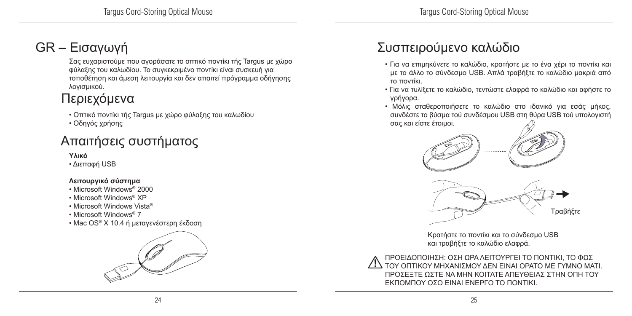### GR – Εισαγωγή

Σας ευχαριστούμε που αγοράσατε το οπτικό ποντίκι τής Targus με χώρο φύλαξης του καλωδίου. Το συγκεκριμένο ποντίκι είναι συσκευή για τοποθέτηση και άμεση λειτουργία και δεν απαιτεί πρόγραμμα οδήγησης λογισμικού.

### Περιεχόμενα

• Οπτικό ποντίκι τής Targus με χώρο φύλαξης του καλωδίου

• Οδηγός χρήσης

### Απαιτήσεις συστήματος

**Υλικό**

• Διεπαφή USB

#### **Λειτουργικό σύστημα**

- Microsoft Windows® 2000
- Microsoft Windows® XP
- Microsoft Windows Vista®
- Microsoft Windows® 7
- Mac OS® X 10.4 ή μεταγενέστερη έκδοση



### Συσπειρούμενο καλώδιο

- Για να επιμηκύνετε το καλώδιο, κρατήστε με το ένα χέρι το ποντίκι και με το άλλο το σύνδεσμο USB. Απλά τραβήξτε το καλώδιο μακριά από το ποντίκι.
- Για να τυλίξετε το καλώδιο, τεντώστε ελαφρά το καλώδιο και αφήστε το γρήγορα.
- Μόλις σταθεροποιήσετε το καλώδιο στο ιδανικό για εσάς μήκος, συνδέστε το βύσμα τού συνδέσμου USB στη θύρα USB τού υπολογιστή σας και είστε έτοιμοι.



Κρατήστε το ποντίκι και το σύνδεσμο USB και τραβήξτε το καλώδιο ελαφρά.

ΠΡΟΕΙΔΟΠΟΙΗΣΗ: ΟΣΗ ΩΡΑ ΛΕΙΤΟΥΡΓΕΙ ΤΟ ΠΟΝΤΙΚΙ, ΤΟ ΦΩΣ ΤΟΥ ΟΠΤΙΚΟΥ ΜΗΧΑΝΙΣΜΟΥ ΔΕΝ ΕΙΝΑΙ ΟΡΑΤΟ ΜΕ ΓΥΜΝΟ ΜΑΤΙ. ΠΡΟΣΕΞΤΕ ΩΣΤΕ ΝΑ ΜΗΝ ΚΟΙΤΑΤΕ ΑΠΕΥΘΕΙΑΣ ΣΤΗΝ ΟΠΗ ΤΟΥ ΕΚΠΟΜΠΟΥ ΟΣΟ ΕΙΝΑΙ ΕΝΕΡΓΟ ΤΟ ΠΟΝΤΙΚΙ.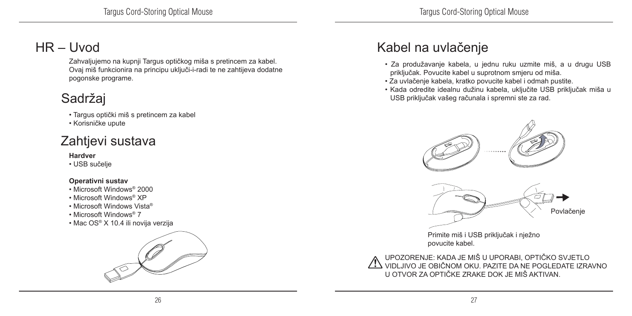### HR – Uvod

Zahvaljujemo na kupnji Targus optičkog miša s pretincem za kabel. Ovaj miš funkcionira na principu uključi-i-radi te ne zahtijeva dodatne pogonske programe.

### Sadržaj

- Targus optički miš s pretincem za kabel
- Korisničke upute

### Zahtjevi sustava

#### **Hardver**

• USB sučelje

#### **Operativni sustav**

- Microsoft Windows® 2000
- Microsoft Windows® XP
- Microsoft Windows Vista®
- Microsoft Windows® 7
- Mac OS® X 10.4 ili novija verzija



### Kabel na uvlačenje

- Za produžavanje kabela, u jednu ruku uzmite miš, a u drugu USB priključak. Povucite kabel u suprotnom smjeru od miša.
- Za uvlačenje kabela, kratko povucite kabel i odmah pustite.
- Kada odredite idealnu dužinu kabela, uključite USB priključak miša u USB priključak vašeg računala i spremni ste za rad.



Primite miš i USB priključak i nježno povucite kabel.

UPOZORENJE: KADA JE MIŠ U UPORABI, OPTIČKO SVJETLO VIDLJIVO JE OBIČNOM OKU. PAZITE DA NE POGLEDATE IZRAVNO U OTVOR ZA OPTIČKE ZRAKE DOK JE MIŠ AKTIVAN.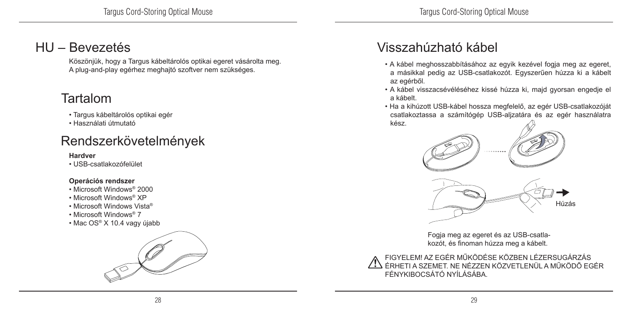#### HU – Bevezetés

Köszönjük, hogy a Targus kábeltárolós optikai egeret vásárolta meg. A plug-and-play egérhez meghajtó szoftver nem szükséges.

#### Tartalom

- Targus kábeltárolós optikai egér
- Használati útmutató

#### Rendszerkövetelmények

#### **Hardver**

• USB-csatlakozófelület

#### **Operációs rendszer**

- Microsoft Windows® 2000
- Microsoft Windows® XP
- Microsoft Windows Vista®
- Microsoft Windows® 7
- Mac OS® X 10.4 vagy újabb



### Visszahúzható kábel

- A kábel meghosszabbításához az egyik kezével fogja meg az egeret, a másikkal pedig az USB-csatlakozót. Egyszerűen húzza ki a kábelt az egérből.
- A kábel visszacsévéléséhez kissé húzza ki, majd gyorsan engedje el a kábelt.
- Ha a kihúzott USB-kábel hossza megfelelő, az egér USB-csatlakozóját csatlakoztassa a számítógép USB-aljzatára és az egér használatra kész.



Fogja meg az egeret és az USB-csatlakozót, és finoman húzza meg a kábelt.

FIGYELEM! AZ EGÉR MŰKÖDÉSE KÖZBEN LÉZERSUGÁRZÁS ÉRHETI A SZEMET. NE NÉZZEN KÖZVETLENÜL A MŰKÖDŐ EGÉR FÉNYKIBOCSÁTÓ NYÍLÁSÁBA.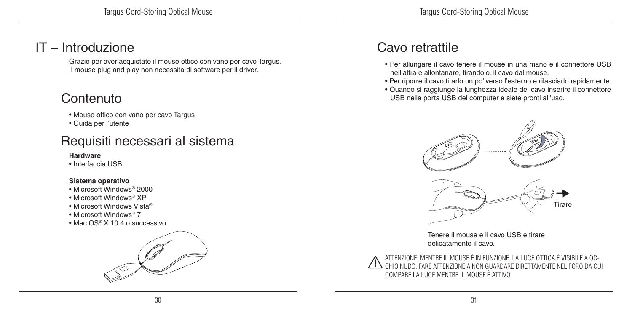#### IT – Introduzione

Grazie per aver acquistato il mouse ottico con vano per cavo Targus. Il mouse plug and play non necessita di software per il driver.

### **Contenuto**

- Mouse ottico con vano per cavo Targus
- Guida per l'utente

#### Requisiti necessari al sistema

#### **Hardware**

• Interfaccia USB

#### **Sistema operativo**

- Microsoft Windows® 2000
- Microsoft Windows® XP
- Microsoft Windows Vista®
- Microsoft Windows® 7
- Mac OS® X 10.4 o successivo



#### Cavo retrattile

- Per allungare il cavo tenere il mouse in una mano e il connettore USB nell'altra e allontanare, tirandolo, il cavo dal mouse.
- Per riporre il cavo tirarlo un po' verso l'esterno e rilasciarlo rapidamente.
- Quando si raggiunge la lunghezza ideale del cavo inserire il connettore USB nella porta USB del computer e siete pronti all'uso.



Tenere il mouse e il cavo USB e tirare delicatamente il cavo.

ATTENZIONE: MENTRE IL MOUSE È IN FUNZIONE, LA LUCE OTTICA È VISIBILE A OC-CHIO NUDO. FARE ATTENZIONE A NON GUARDARE DIRETTAMENTE NEL FORO DA CUI COMPARE LA LUCE MENTRE IL MOUSE È ATTIVO.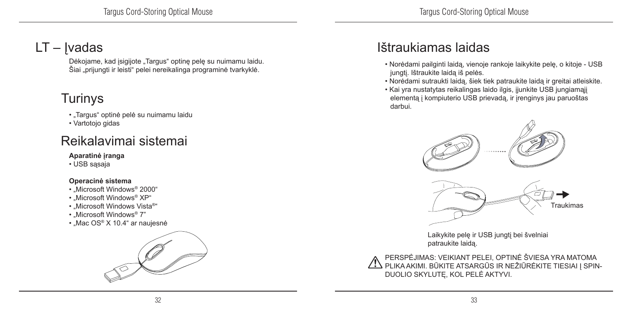### LT – Ivadas

Dėkojame, kad įsigijote "Targus" optinę pelę su nuimamu laidu. Šiai "prijungti ir leisti" pelei nereikalinga programinė tvarkyklė.

### Turinys

- "Targus" optinė pelė su nuimamu laidu
- Vartotojo gidas

### Reikalavimai sistemai

#### **Aparatinė įranga**

• USB sasaja

#### **Operacinė sistema**

- "Microsoft Windows® 2000"
- .Microsoft Windows<sup>®</sup> XP"
- Microsoft Windows Vista®"
- .Microsoft Windows<sup>®</sup> 7"
- Mac OS® X 10.4" ar naujesnė



### Ištraukiamas laidas

- Norėdami pailginti laidą, vienoje rankoje laikykite pelę, o kitoje USB jungtį. Ištraukite laidą iš pelės.
- Norėdami sutraukti laidą, šiek tiek patraukite laidą ir greitai atleiskite.
- Kai yra nustatytas reikalingas laido ilgis, įjunkite USB jungiamąjį elementą į kompiuterio USB prievadą, ir įrenginys jau paruoštas darbui.



Laikykite pelę ir USB jungtį bei švelniai patraukite laidą.

PERSPĖJIMAS: VEIKIANT PELEI, OPTINĖ ŠVIESA YRA MATOMA PLIKA AKIMI. BŪKITE ATSARGŪS IR NEŽIŪRĖKITE TIESIAI Į SPIN-DUOLIO SKYLUTĘ, KOL PELĖ AKTYVI.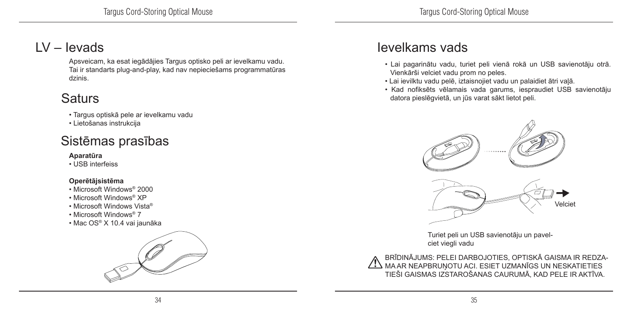#### LV – Ievads

Apsveicam, ka esat iegādājies Targus optisko peli ar ievelkamu vadu. Tai ir standarts plug-and-play, kad nav nepieciešams programmatūras dzinis.

### **Saturs**

- Targus optiskā pele ar ievelkamu vadu
- Lietošanas instrukcija

### Sistēmas prasības

#### **Aparatūra**

• USB interfeiss

#### **Operētājsistēma**

- Microsoft Windows® 2000
- Microsoft Windows® XP
- Microsoft Windows Vista®
- Microsoft Windows® 7
- Mac OS® X 10.4 vai jaunāka



#### Ievelkams vads

- Lai pagarinātu vadu, turiet peli vienā rokā un USB savienotāju otrā. Vienkārši velciet vadu prom no peles.
- Lai ievilktu vadu pelē, iztaisnojiet vadu un palaidiet ātri vaļā.
- Kad nofiksēts vēlamais vada garums, iespraudiet USB savienotāju datora pieslēgvietā, un jūs varat sākt lietot peli.



Turiet peli un USB savienotāju un pavelciet viegli vadu

BRĪDINĀJUMS: PELEI DARBOJOTIES, OPTISKĀ GAISMA IR REDZA-MA AR NEAPBRUŅOTU ACI. ESIET UZMANĪGS UN NESKATIETIES TIEŠI GAISMAS IZSTAROŠANAS CAURUMĀ, KAD PELE IR AKTĪVA.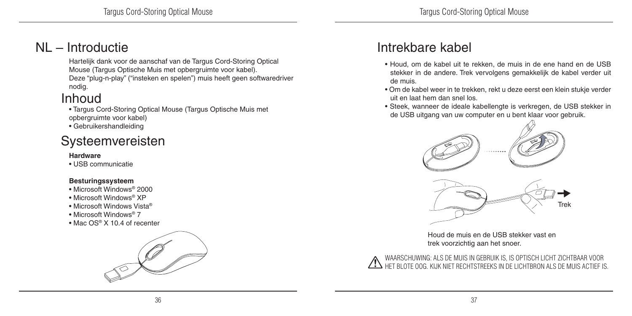#### NL – Introductie

Hartelijk dank voor de aanschaf van de Targus Cord-Storing Optical Mouse (Targus Optische Muis met opbergruimte voor kabel). Deze "plug-n-play" ("insteken en spelen") muis heeft geen softwaredriver nodig.

#### Inhoud

• Targus Cord-Storing Optical Mouse (Targus Optische Muis met opbergruimte voor kabel)

• Gebruikershandleiding

#### Systeemvereisten

#### **Hardware**

• USB communicatie

#### **Besturingssysteem**

- Microsoft Windows® 2000
- Microsoft Windows® XP
- Microsoft Windows Vista®
- Microsoft Windows® 7
- Mac OS® X 10.4 of recenter



#### Intrekbare kabel

- Houd, om de kabel uit te rekken, de muis in de ene hand en de USB stekker in de andere. Trek vervolgens gemakkelijk de kabel verder uit de muis.
- Om de kabel weer in te trekken, rekt u deze eerst een klein stukje verder uit en laat hem dan snel los.
- Steek, wanneer de ideale kabellengte is verkregen, de USB stekker in de USB uitgang van uw computer en u bent klaar voor gebruik.



Houd de muis en de USB stekker vast en trek voorzichtig aan het snoer.

WAARSCHUWING: ALS DE MUIS IN GEBRUIK IS, IS OPTISCH LICHT ZICHTBAAR VOOR HET BLOTE OOG. KIJK NIET RECHTSTREEKS IN DE LICHTBRON ALS DE MUIS ACTIEF IS.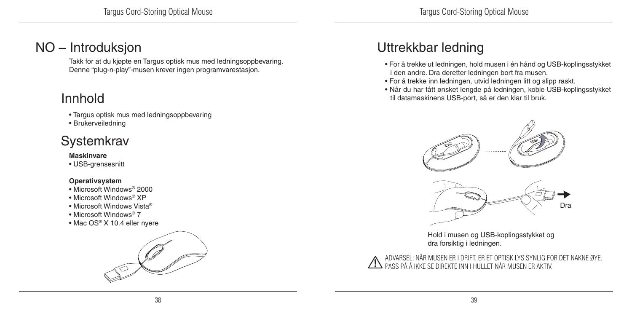#### NO – Introduksjon

Takk for at du kjøpte en Targus optisk mus med ledningsoppbevaring. Denne "plug-n-play"-musen krever ingen programvarestasjon.

#### Innhold

- Targus optisk mus med ledningsoppbevaring
- Brukerveiledning

#### **Systemkrav**

#### **Maskinvare**

• USB-grensesnitt

#### **Operativsystem**

- Microsoft Windows® 2000
- Microsoft Windows® XP
- Microsoft Windows Vista®
- Microsoft Windows® 7
- Mac OS® X 10.4 eller nyere



### Uttrekkbar ledning

- For å trekke ut ledningen, hold musen i én hånd og USB-koplingsstykket i den andre. Dra deretter ledningen bort fra musen.
- For å trekke inn ledningen, utvid ledningen litt og slipp raskt.
- Når du har fått ønsket lengde på ledningen, koble USB-koplingsstykket til datamaskinens USB-port, så er den klar til bruk.



Hold i musen og USB-koplingsstykket og dra forsiktig i ledningen.

ADVARSEL: NÅR MUSEN ER I DRIFT, ER ET OPTISK LYS SYNLIG FOR DET NAKNE ØYE. PASS PÅ Å IKKE SE DIREKTE INN I HULLET NÅR MUSEN ER AKTIV.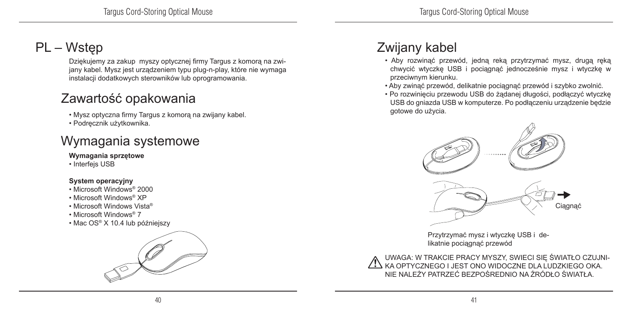### PL – Wstęp

Dziękujemy za zakup myszy optycznej firmy Targus z komorą na zwijany kabel. Mysz jest urządzeniem typu plug-n-play, które nie wymaga instalacji dodatkowych sterowników lub oprogramowania.

#### Zawartość opakowania

• Mysz optyczna firmy Targus z komorą na zwijany kabel.

• Podręcznik użytkownika.

### Wymagania systemowe

#### **Wymagania sprzętowe**

• Interfejs USB

#### **System operacyjny**

- Microsoft Windows® 2000
- Microsoft Windows® XP
- Microsoft Windows Vista®
- Microsoft Windows® 7
- Mac OS® X 10.4 lub późniejszy



### Zwijany kabel

- Aby rozwinąć przewód, jedną reką przytrzymać mysz, drugą ręką chwycić wtyczkę USB i pociągnąć jednocześnie mysz i wtyczkę w przeciwnym kierunku.
- Aby zwinąć przewód, delikatnie pociągnąć przewód i szybko zwolnić.
- Po rozwinięciu przewodu USB do żądanej długości, podłączyć wtyczkę USB do gniazda USB w komputerze. Po podłączeniu urządzenie będzie gotowe do użycia.



Przytrzymać mysz i wtyczkę USB i delikatnie pociągnąć przewód

UWAGA: W TRAKCIE PRACY MYSZY, SWIECI SIĘ ŚWIATŁO CZUJNI-KA OPTYCZNEGO I JEST ONO WIDOCZNE DLA LUDZKIEGO OKA. NIE NALEŻY PATRZEĆ BEZPOŚREDNIO NA ŹRÓDŁO ŚWIATŁA.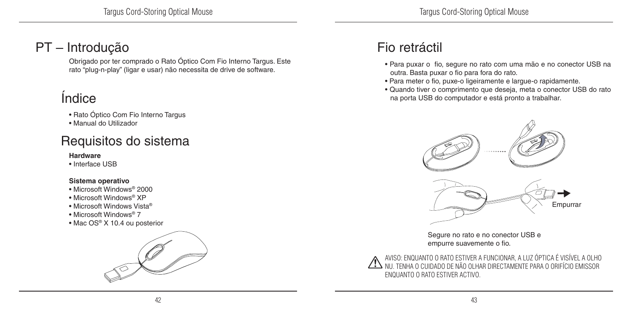### PT – Introdução

Obrigado por ter comprado o Rato Óptico Com Fio Interno Targus. Este rato "plug-n-play" (ligar e usar) não necessita de drive de software.

### Índice

- Rato Óptico Com Fio Interno Targus
- Manual do Utilizador

### Requisitos do sistema

#### **Hardware**

• Interface USB

#### **Sistema operativo**

- Microsoft Windows® 2000
- Microsoft Windows® XP
- Microsoft Windows Vista®
- Microsoft Windows® 7
- Mac OS® X 10.4 ou posterior



### Fio retráctil

- Para puxar o fio, segure no rato com uma mão e no conector USB na outra. Basta puxar o fio para fora do rato.
- Para meter o fio, puxe-o ligeiramente e largue-o rapidamente.
- Quando tiver o comprimento que deseja, meta o conector USB do rato na porta USB do computador e está pronto a trabalhar.



Segure no rato e no conector USB e empurre suavemente o fio.

AVISO: ENQUANTO O RATO ESTIVER A FUNCIONAR, A LUZ ÓPTICA É VISÍVEL A OLHO NU. TENHA O CUIDADO DE NÃO OLHAR DIRECTAMENTE PARA O ORIFÍCIO EMISSOR ENQUANTO O RATO ESTIVER ACTIVO.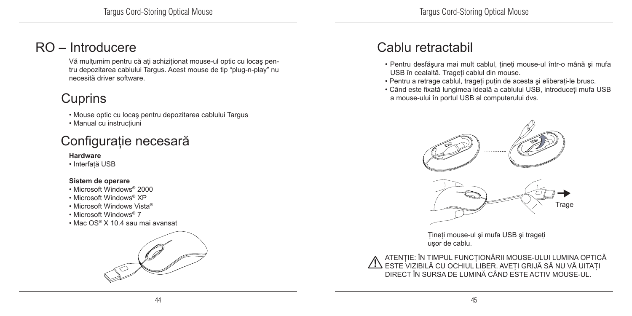#### RO – Introducere

Vă multumim pentru că ati achizitionat mouse-ul optic cu locaș pentru depozitarea cablului Targus. Acest mouse de tip "plug-n-play" nu necesită driver software.

### **Cuprins**

• Mouse optic cu locaş pentru depozitarea cablului Targus

• Manual cu instructiuni

### Configuraţie necesară

#### **Hardware**

• Interfată USB

#### **Sistem de operare**

- Microsoft Windows® 2000
- Microsoft Windows® XP
- Microsoft Windows Vista®
- Microsoft Windows® 7
- Mac OS® X 10.4 sau mai avansat



### Cablu retractabil

- Pentru desfăşura mai mult cablul, ţineţi mouse-ul într-o mână şi mufa USB în cealaltă. Trageţi cablul din mouse.
- Pentru a retrage cablul, trageţi puţin de acesta şi eliberaţi-le brusc.
- Când este fixată lungimea ideală a cablului USB, introduceţi mufa USB a mouse-ului în portul USB al computerului dvs.



Ţineţi mouse-ul şi mufa USB şi trageţi uşor de cablu.

ATENŢIE: ÎN TIMPUL FUNCŢIONĂRII MOUSE-ULUI LUMINA OPTICĂ ESTE VIZIBILĂ CU OCHIUL LIBER. AVEŢI GRIJĂ SĂ NU VĂ UITAŢI DIRECT ÎN SURSA DE LUMINĂ CÂND ESTE ACTIV MOUSE-UL.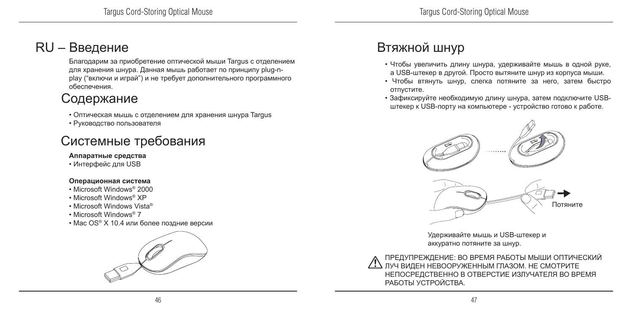#### RU – Введение

Благодарим за приобретение оптической мыши Targus с отделением для хранения шнура. Данная мышь работает по принципу plug-nplay ("включи и играй") и не требует дополнительного программного обеспечения.

### Содержание

- Оптическая мышь с отделением для хранения шнура Targus
- Руководство пользователя

### Системные требования

#### **Аппаратные средства**

• Интерфейс для USB

#### **Операционная система**

- Microsoft Windows® 2000
- Microsoft Windows® XP
- Microsoft Windows Vista®
- Microsoft Windows® 7
- Mac OS® X 10.4 или более поздние версии



### Втяжной шнур

- Чтобы увеличить длину шнура, удерживайте мышь в одной руке, а USB-штекер в другой. Просто вытяните шнур из корпуса мыши.
- Чтобы втянуть шнур, слегка потяните за него, затем быстро отпустите.
- Зафиксируйте необходимую длину шнура, затем подключите USBштекер к USB-порту на компьютере - устройство готово к работе.



Удерживайте мышь и USB-штекер и аккуратно потяните за шнур.

ПРЕДУПРЕЖДЕНИЕ: ВО ВРЕМЯ РАБОТЫ МЫШИ ОПТИЧЕСКИЙ ЛУЧ ВИДЕН НЕВООРУЖЕННЫМ ГЛАЗОМ. НЕ СМОТРИТЕ НЕПОСРЕДСТВЕННО В ОТВЕРСТИЕ ИЗЛУЧАТЕЛЯ ВО ВРЕМЯ РАБОТЫ УСТРОЙСТВА.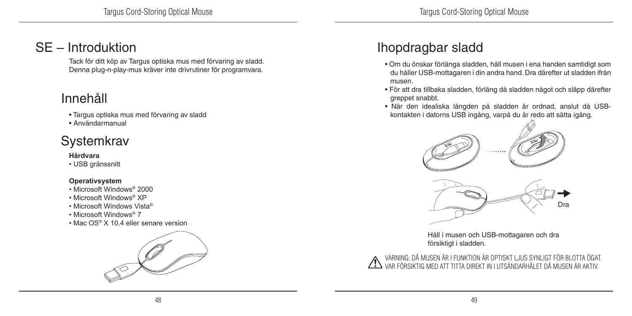#### SE – Introduktion

Tack för ditt köp av Targus optiska mus med förvaring av sladd. Denna plug-n-play-mus kräver inte drivrutiner för programvara.

#### Innehåll

- Targus optiska mus med förvaring av sladd
- Användarmanual

#### **Systemkrav**

#### **Hårdvara**

• USB gränssnitt

#### **Operativsystem**

- Microsoft Windows® 2000
- Microsoft Windows® XP
- Microsoft Windows Vista®
- Microsoft Windows® 7
- Mac OS® X 10.4 eller senare version



### Ihopdragbar sladd

- Om du önskar förlänga sladden, håll musen i ena handen samtidigt som du håller USB-mottagaren i din andra hand. Dra därefter ut sladden ifrån musen.
- För att dra tillbaka sladden, förläng då sladden något och släpp därefter greppet snabbt.
- När den idealiska längden på sladden är ordnad, anslut då USBkontakten i datorns USB ingång, varpå du är redo att sätta igång.



Håll i musen och USB-mottagaren och dra försiktigt i sladden.



VARNING: DÅ MUSEN ÄR I FUNKTION ÄR OPTISKT LJUS SYNLIGT FÖR BLOTTA ÖGAT. VAR FÖRSIKTIG MED ATT TITTA DIREKT IN I UTSÄNDARHÅLET DÅ MUSEN ÄR AKTIV.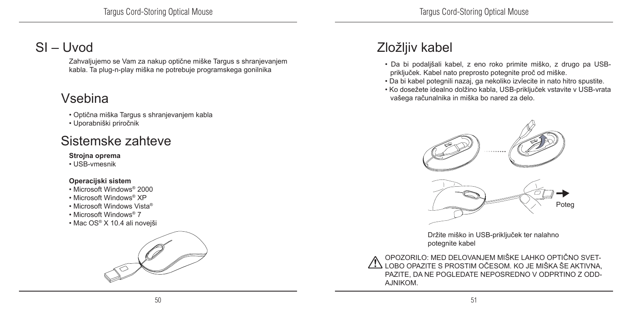### SI – Uvod

Zahvaljujemo se Vam za nakup optične miške Targus s shranjevanjem kabla. Ta plug-n-play miška ne potrebuje programskega gonilnika

### Vsebina

• Optična miška Targus s shranjevanjem kabla

• Uporabniški priročnik

#### Sistemske zahteve

**Strojna oprema**

• USB-vmesnik

#### **Operacijski sistem**

• Microsoft Windows® 2000

• Microsoft Windows® XP

• Microsoft Windows Vista®

- Microsoft Windows® 7
- Mac OS® X 10.4 ali novejši



### Zložljiv kabel

- Da bi podaljšali kabel, z eno roko primite miško, z drugo pa USBpriključek. Kabel nato preprosto potegnite proč od miške.
- Da bi kabel potegnili nazaj, ga nekoliko izvlecite in nato hitro spustite.
- Ko dosežete idealno dolžino kabla, USB-priključek vstavite v USB-vrata vašega računalnika in miška bo nared za delo.



Držite miško in USB-priključek ter nalahno potegnite kabel

OPOZORILO: MED DELOVANJEM MIŠKE LAHKO OPTIČNO SVET-LOBO OPAZITE S PROSTIM OČESOM. KO JE MIŠKA ŠE AKTIVNA, PAZITE, DA NE POGLEDATE NEPOSREDNO V ODPRTINO Z ODD-AJNIKOM.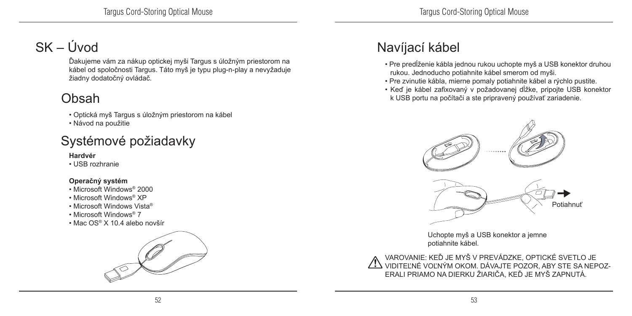### SK – Úvod

Ďakujeme vám za nákup optickej myši Targus s úložným priestorom na kábel od spoločnosti Targus. Táto myš je typu plug-n-play a nevyžaduje žiadny dodatočný ovládač.

### Obsah

• Optická myš Targus s úložným priestorom na kábel

• Návod na použitie

### Systémové požiadavky

#### **Hardvér**

• USB rozhranie

#### **Operačný systém**

- Microsoft Windows® 2000
- Microsoft Windows® XP
- Microsoft Windows Vista®
- Microsoft Windows® 7
- Mac OS® X 10.4 alebo novšír



### Navíjací kábel

- Pre predĺženie kábla jednou rukou uchopte myš a USB konektor druhou rukou. Jednoducho potiahnite kábel smerom od myši.
- Pre zvinutie kábla, mierne pomaly potiahnite kábel a rýchlo pustite.
- Keď je kábel zafixovaný v požadovanej dĺžke, pripojte USB konektor k USB portu na počítači a ste pripravený používať zariadenie.



Uchopte myš a USB konektor a jemne potiahnite kábel.

VAROVANIE: KEĎ JE MYŠ V PREVÁDZKE, OPTICKÉ SVETLO JE VIDITEĽNÉ VOĽNÝM OKOM. DÁVAJTE POZOR, ABY STE SA NEPOZ-ERALI PRIAMO NA DIERKU ŽIARIČA, KEĎ JE MYŠ ZAPNUTÁ.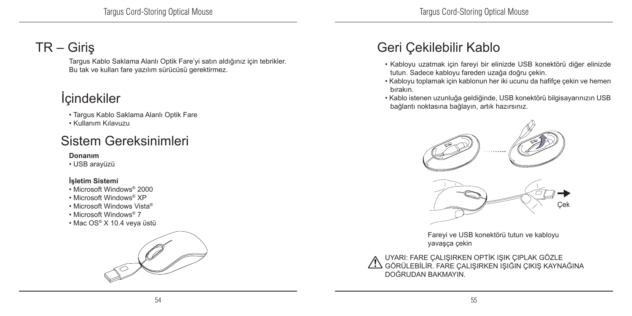### TR – Giriş

Targus Kablo Saklama Alanlı Optik Fare'yi satın aldığınız için tebrikler. Bu tak ve kullan fare yazılım sürücüsü gerektirmez.

### **İ**cindekiler

- Targus Kablo Saklama Alanlı Optik Fare
- Kullanım Kılavuzu

### Sistem Gereksinimleri

#### **Donanım**

• USB arayüzü

#### **İşletim Sistemi**

- Microsoft Windows® 2000
- Microsoft Windows® XP
- Microsoft Windows Vista®
- Microsoft Windows® 7
- Mac OS® X 10.4 veya üstü



### Geri Çekilebilir Kablo

- Kabloyu uzatmak için fareyi bir elinizde USB konektörü diğer elinizde tutun. Sadece kabloyu fareden uzağa doğru çekin.
- Kabloyu toplamak için kablonun her iki ucunu da hafifçe çekin ve hemen bırakın.
- Kablo istenen uzunluğa geldiğinde, USB konektörü bilgisayarınızın USB bağlantı noktasına bağlayın, artık hazırsınız.



Fareyi ve USB konektörü tutun ve kabloyu yavaşça çekin

UYARI: FARE ÇALIŞIRKEN OPTİK IŞIK ÇIPLAK GÖZLE GÖRÜLEBİLİR. FARE ÇALIŞIRKEN IŞIĞIN ÇIKIŞ KAYNAĞINA DOĞRUDAN BAKMAYIN.